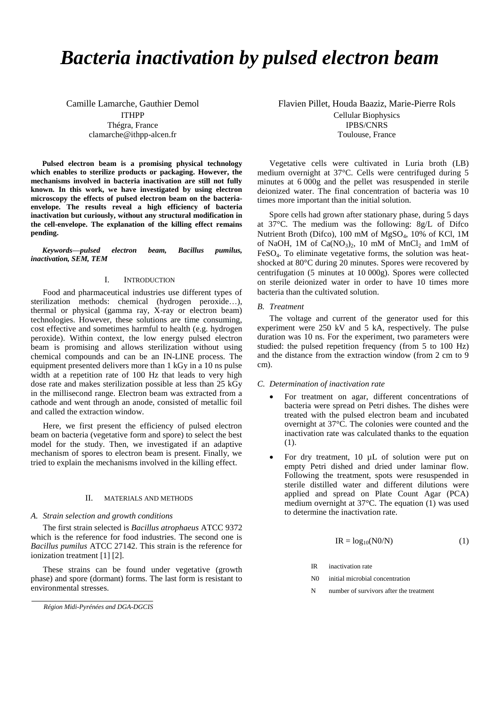# *Bacteria inactivation by pulsed electron beam*

Camille Lamarche, Gauthier Demol ITHPP Thégra, France clamarche@ithpp-alcen.fr

**Pulsed electron beam is a promising physical technology which enables to sterilize products or packaging. However, the mechanisms involved in bacteria inactivation are still not fully known. In this work, we have investigated by using electron microscopy the effects of pulsed electron beam on the bacteriaenvelope. The results reveal a high efficiency of bacteria inactivation but curiously, without any structural modification in the cell-envelope. The explanation of the killing effect remains pending.**

*Keywords—pulsed electron beam, Bacillus pumilus, inactivation, SEM, TEM*

### I. INTRODUCTION

Food and pharmaceutical industries use different types of sterilization methods: chemical (hydrogen peroxide…), thermal or physical (gamma ray, X-ray or electron beam) technologies. However, these solutions are time consuming, cost effective and sometimes harmful to health (e.g. hydrogen peroxide). Within context, the low energy pulsed electron beam is promising and allows sterilization without using chemical compounds and can be an IN-LINE process. The equipment presented delivers more than 1 kGy in a 10 ns pulse width at a repetition rate of 100 Hz that leads to very high dose rate and makes sterilization possible at less than 25 kGy in the millisecond range. Electron beam was extracted from a cathode and went through an anode, consisted of metallic foil and called the extraction window.

Here, we first present the efficiency of pulsed electron beam on bacteria (vegetative form and spore) to select the best model for the study. Then, we investigated if an adaptive mechanism of spores to electron beam is present. Finally, we tried to explain the mechanisms involved in the killing effect.

# II. MATERIALS AND METHODS

# *A. Strain selection and growth conditions*

The first strain selected is *Bacillus atrophaeus* ATCC 9372 which is the reference for food industries. The second one is *Bacillus pumilus* ATCC 27142. This strain is the reference for ionization treatment [1] [2].

These strains can be found under vegetative (growth phase) and spore (dormant) forms. The last form is resistant to environmental stresses.

Flavien Pillet, Houda Baaziz, Marie-Pierre Rols Cellular Biophysics IPBS/CNRS Toulouse, France

Vegetative cells were cultivated in Luria broth (LB) medium overnight at 37°C. Cells were centrifuged during 5 minutes at 6 000g and the pellet was resuspended in sterile deionized water. The final concentration of bacteria was 10 times more important than the initial solution.

Spore cells had grown after stationary phase, during 5 days at 37°C. The medium was the following: 8g/L of Difco Nutrient Broth (Difco), 100 mM of MgSO<sub>4</sub>, 10% of KCl, 1M of NaOH, 1M of  $Ca(NO<sub>3</sub>)<sub>2</sub>$ , 10 mM of MnCl<sub>2</sub> and 1mM of FeSO4. To eliminate vegetative forms, the solution was heatshocked at 80°C during 20 minutes. Spores were recovered by centrifugation (5 minutes at 10 000g). Spores were collected on sterile deionized water in order to have 10 times more bacteria than the cultivated solution.

## *B. Treatment*

The voltage and current of the generator used for this experiment were 250 kV and 5 kA, respectively. The pulse duration was 10 ns. For the experiment, two parameters were studied: the pulsed repetition frequency (from 5 to 100 Hz) and the distance from the extraction window (from 2 cm to 9 cm).

## *C. Determination of inactivation rate*

- For treatment on agar, different concentrations of bacteria were spread on Petri dishes. The dishes were treated with the pulsed electron beam and incubated overnight at 37°C. The colonies were counted and the inactivation rate was calculated thanks to the equation (1).
- For dry treatment, 10 µL of solution were put on empty Petri dished and dried under laminar flow. Following the treatment, spots were resuspended in sterile distilled water and different dilutions were applied and spread on Plate Count Agar (PCA) medium overnight at 37°C. The equation (1) was used to determine the inactivation rate.

$$
IR = log10(N0/N)
$$
 (1)

- IR inactivation rate
- N0 initial microbial concentration
- N number of survivors after the treatment

*Région Midi-Pyrénées and DGA-DGCIS*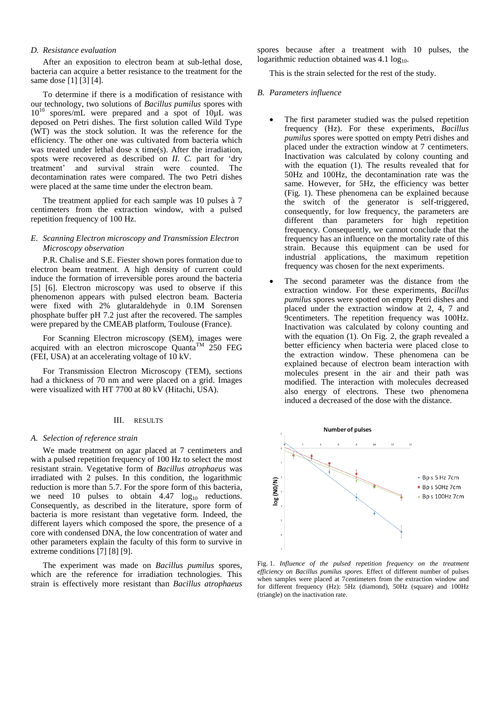# *D. Resistance evaluation*

After an exposition to electron beam at sub-lethal dose, bacteria can acquire a better resistance to the treatment for the same dose [1] [3] [4].

To determine if there is a modification of resistance with our technology, two solutions of *Bacillus pumilus* spores with  $10^{10}$  spores/mL were prepared and a spot of  $10\mu$ L was deposed on Petri dishes. The first solution called Wild Type (WT) was the stock solution. It was the reference for the efficiency. The other one was cultivated from bacteria which was treated under lethal dose x time(s). After the irradiation, spots were recovered as described on *II. C.* part for 'dry treatment' and survival strain were counted. The decontamination rates were compared. The two Petri dishes were placed at the same time under the electron beam.

The treatment applied for each sample was 10 pulses à 7 centimeters from the extraction window, with a pulsed repetition frequency of 100 Hz.

# *E. Scanning Electron microscopy and Transmission Electron Microscopy observation*

P.R. Chalise and S.E. Fiester shown pores formation due to electron beam treatment. A high density of current could induce the formation of irreversible pores around the bacteria [5] [6]. Electron microscopy was used to observe if this phenomenon appears with pulsed electron beam. Bacteria were fixed with 2% glutaraldehyde in 0.1M Sorensen phosphate buffer pH 7.2 just after the recovered. The samples were prepared by the CMEAB platform, Toulouse (France).

For Scanning Electron microscopy (SEM), images were acquired with an electron microscope Quanta<sup>TM</sup> 250 FEG (FEI, USA) at an accelerating voltage of 10 kV.

For Transmission Electron Microscopy (TEM), sections had a thickness of 70 nm and were placed on a grid. Images were visualized with HT 7700 at 80 kV (Hitachi, USA).

## III. RESULTS

#### *A. Selection of reference strain*

We made treatment on agar placed at 7 centimeters and with a pulsed repetition frequency of 100 Hz to select the most resistant strain. Vegetative form of *Bacillus atrophaeus* was irradiated with 2 pulses. In this condition, the logarithmic reduction is more than 5.7. For the spore form of this bacteria, we need 10 pulses to obtain  $4.47 \log_{10}$  reductions. Consequently, as described in the literature, spore form of bacteria is more resistant than vegetative form. Indeed, the different layers which composed the spore, the presence of a core with condensed DNA, the low concentration of water and other parameters explain the faculty of this form to survive in extreme conditions [7] [8] [9].

The experiment was made on *Bacillus pumilus* spores, which are the reference for irradiation technologies. This strain is effectively more resistant than *Bacillus atrophaeus* 

spores because after a treatment with 10 pulses, the logarithmic reduction obtained was  $4.1 \log_{10}$ .

This is the strain selected for the rest of the study.

#### *B. Parameters influence*

- The first parameter studied was the pulsed repetition frequency (Hz). For these experiments, *Bacillus pumilus* spores were spotted on empty Petri dishes and placed under the extraction window at 7 centimeters. Inactivation was calculated by colony counting and with the equation (1). The results revealed that for 50Hz and 100Hz, the decontamination rate was the same. However, for 5Hz, the efficiency was better (Fig. 1). These phenomena can be explained because the switch of the generator is self-triggered, consequently, for low frequency, the parameters are different than parameters for high repetition frequency. Consequently, we cannot conclude that the frequency has an influence on the mortality rate of this strain. Because this equipment can be used for industrial applications, the maximum repetition frequency was chosen for the next experiments.
- The second parameter was the distance from the extraction window. For these experiments, *Bacillus pumilus* spores were spotted on empty Petri dishes and placed under the extraction window at 2, 4, 7 and 9centimeters. The repetition frequency was 100Hz. Inactivation was calculated by colony counting and with the equation (1). On Fig. 2, the graph revealed a better efficiency when bacteria were placed close to the extraction window. These phenomena can be explained because of electron beam interaction with molecules present in the air and their path was modified. The interaction with molecules decreased also energy of electrons. These two phenomena induced a decreased of the dose with the distance.



Fig. 1. *Influence of the pulsed repetition frequency on the treatment efficiency on Bacillus pumilus spores.* Effect of different number of pulses when samples were placed at 7centimeters from the extraction window and for different frequency (Hz): 5Hz (diamond), 50Hz (square) and 100Hz (triangle) on the inactivation rate.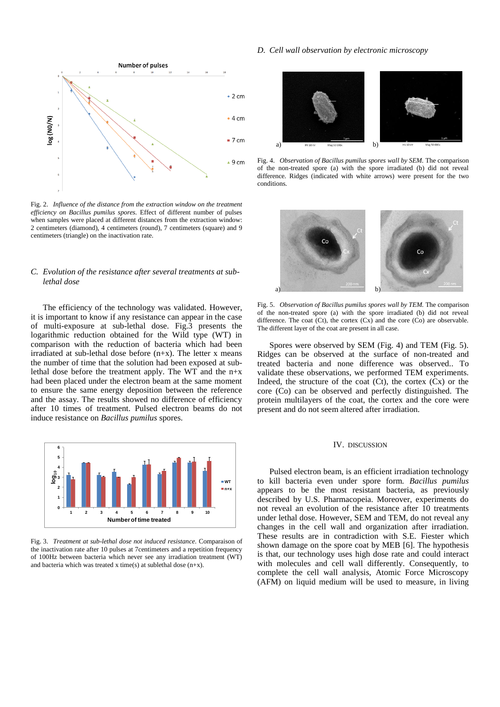

Fig. 2. *Influence of the distance from the extraction window on the treatment efficiency on Bacillus pumilus spores.* Effect of different number of pulses when samples were placed at different distances from the extraction window: 2 centimeters (diamond), 4 centimeters (round), 7 centimeters (square) and 9 centimeters (triangle) on the inactivation rate.

# *C. Evolution of the resistance after several treatments at sublethal dose*

The efficiency of the technology was validated. However, it is important to know if any resistance can appear in the case of multi-exposure at sub-lethal dose. Fig.3 presents the logarithmic reduction obtained for the Wild type (WT) in comparison with the reduction of bacteria which had been irradiated at sub-lethal dose before (n+x). The letter x means the number of time that the solution had been exposed at sublethal dose before the treatment apply. The WT and the n+x had been placed under the electron beam at the same moment to ensure the same energy deposition between the reference and the assay. The results showed no difference of efficiency after 10 times of treatment. Pulsed electron beams do not induce resistance on *Bacillus pumilus* spores.



Fig. 3. *Treatment at sub-lethal dose not induced resistance.* Comparaison of the inactivation rate after 10 pulses at 7centimeters and a repetition frequency of 100Hz between bacteria which never see any irradiation treatment (WT) and bacteria which was treated x time(s) at sublethal dose (n+x).

### *D. Cell wall observation by electronic microscopy*



Fig. 4. *Observation of Bacillus pumilus spores wall by SEM.* The comparison of the non-treated spore (a) with the spore irradiated (b) did not reveal difference. Ridges (indicated with white arrows) were present for the two conditions.



Fig. 5. *Observation of Bacillus pumilus spores wall by TEM.* The comparison of the non-treated spore (a) with the spore irradiated (b) did not reveal difference. The coat  $(Ct)$ , the cortex  $(Cx)$  and the core  $(Co)$  are observable. The different layer of the coat are present in all case.

Spores were observed by SEM (Fig. 4) and TEM (Fig. 5). Ridges can be observed at the surface of non-treated and treated bacteria and none difference was observed.. To validate these observations, we performed TEM experiments. Indeed, the structure of the coat  $(Ct)$ , the cortex  $(Cx)$  or the core (Co) can be observed and perfectly distinguished. The protein multilayers of the coat, the cortex and the core were present and do not seem altered after irradiation.

#### IV. DISCUSSION

Pulsed electron beam, is an efficient irradiation technology to kill bacteria even under spore form. *Bacillus pumilus* appears to be the most resistant bacteria, as previously described by U.S. Pharmacopeia. Moreover, experiments do not reveal an evolution of the resistance after 10 treatments under lethal dose. However, SEM and TEM, do not reveal any changes in the cell wall and organization after irradiation. These results are in contradiction with S.E. Fiester which shown damage on the spore coat by MEB [6]. The hypothesis is that, our technology uses high dose rate and could interact with molecules and cell wall differently. Consequently, to complete the cell wall analysis, Atomic Force Microscopy (AFM) on liquid medium will be used to measure, in living